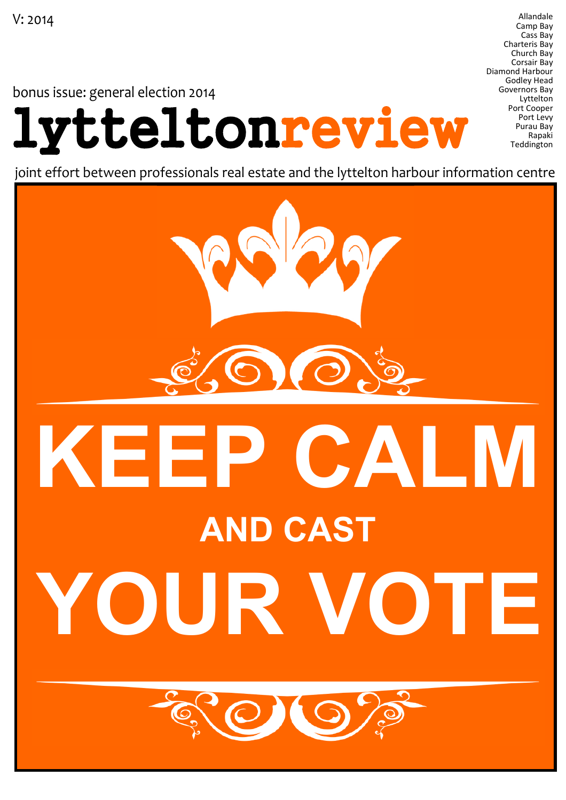bonus issue: general election 2014

# lytteltonreview

Allandale Camp Bay Cass Bay Charteris Bay Church Bay Corsair Bay Diamond Harbour Godley Head Governors Bay Lyttelton Port Cooper Port Levy Purau Bay Rapaki **Teddington** 

joint effort between professionals real estate and the lyttelton harbour information centre

# KEEP CALM AND CAST UR VOT

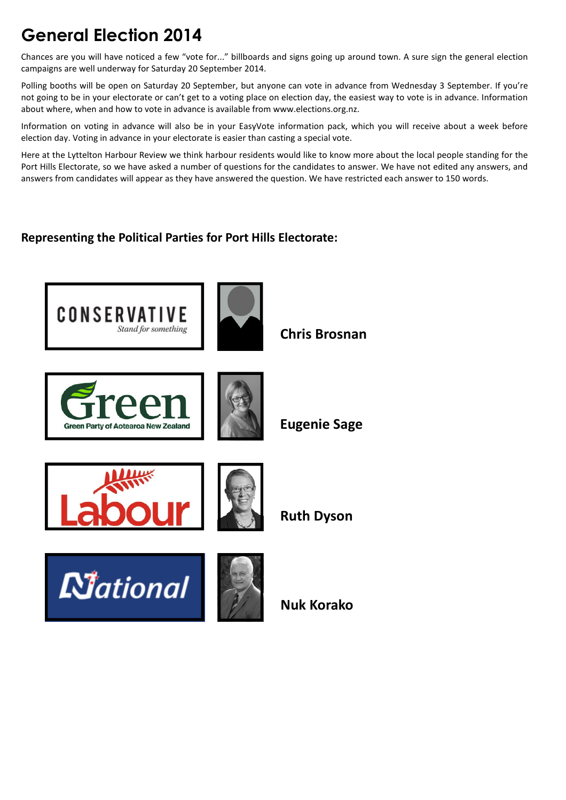# General Election 2014

Chances are you will have noticed a few "vote for..." billboards and signs going up around town. A sure sign the general election campaigns are well underway for Saturday 20 September 2014.

Polling booths will be open on Saturday 20 September, but anyone can vote in advance from Wednesday 3 September. If you're not going to be in your electorate or can't get to a voting place on election day, the easiest way to vote is in advance. Information about where, when and how to vote in advance is available from www.elections.org.nz.

Information on voting in advance will also be in your EasyVote information pack, which you will receive about a week before election day. Voting in advance in your electorate is easier than casting a special vote.

Here at the Lyttelton Harbour Review we think harbour residents would like to know more about the local people standing for the Port Hills Electorate, so we have asked a number of questions for the candidates to answer. We have not edited any answers, and answers from candidates will appear as they have answered the question. We have restricted each answer to 150 words.

# Representing the Political Parties for Port Hills Electorate:

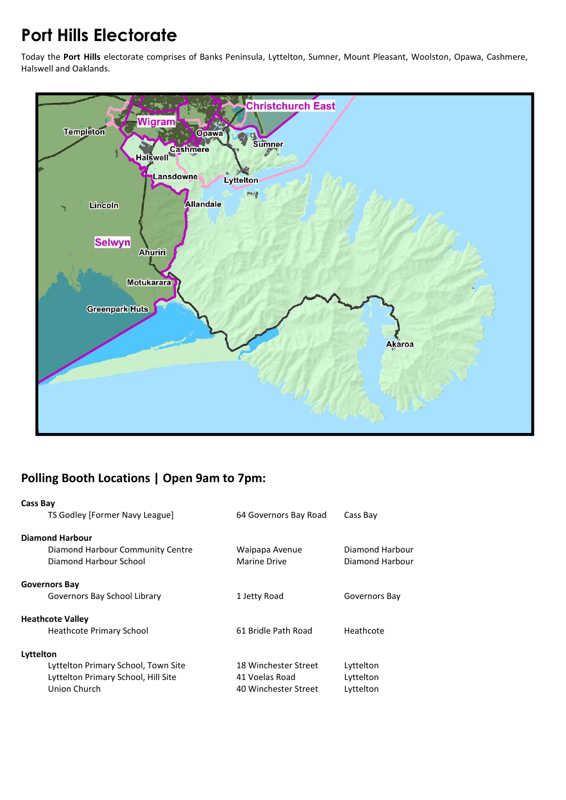# Port Hills Electorate

Today the Port Hills electorate comprises of Banks Peninsula, Lyttelton, Sumner, Mount Pleasant, Woolston, Opawa, Cashmere, Halswell and Oaklands.



# Polling Booth Locations | Open 9am to 7pm:

| <b>Cass Bay</b>                     |                       |                 |
|-------------------------------------|-----------------------|-----------------|
| TS Godley [Former Navy League]      | 64 Governors Bay Road | Cass Bay        |
| <b>Diamond Harbour</b>              |                       |                 |
| Diamond Harbour Community Centre    | Waipapa Avenue        | Diamond Harbour |
| Diamond Harbour School              | Marine Drive          | Diamond Harbour |
| <b>Governors Bay</b>                |                       |                 |
| Governors Bay School Library        | 1 Jetty Road          | Governors Bay   |
| <b>Heathcote Valley</b>             |                       |                 |
| Heathcote Primary School            | 61 Bridle Path Road   | Heathcote       |
| Lyttelton                           |                       |                 |
| Lyttelton Primary School, Town Site | 18 Winchester Street  | Lyttelton       |
| Lyttelton Primary School, Hill Site | 41 Voelas Road        | Lyttelton       |
| Union Church                        | 40 Winchester Street  | Lyttelton       |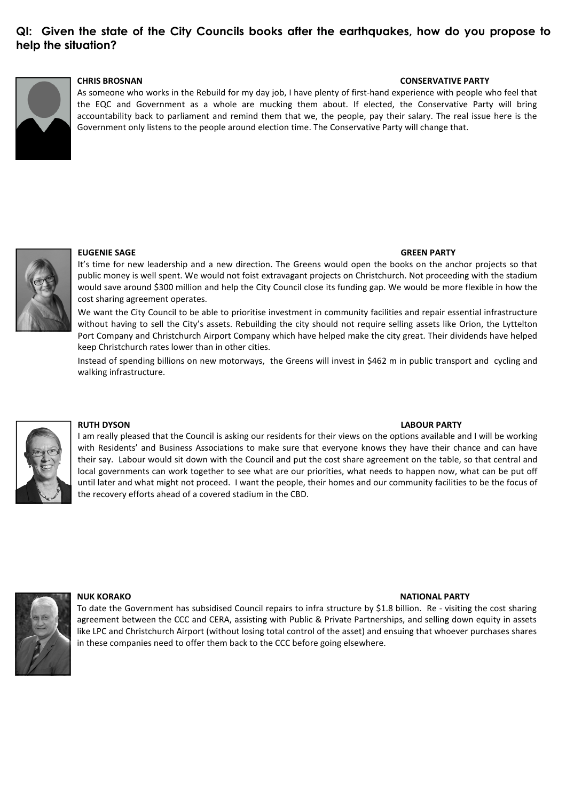# QI: Given the state of the City Councils books after the earthquakes, how do you propose to help the situation?



# CHRIS BROSNAN CONSERVATIVE PARTY

As someone who works in the Rebuild for my day job, I have plenty of first-hand experience with people who feel that the EQC and Government as a whole are mucking them about. If elected, the Conservative Party will bring accountability back to parliament and remind them that we, the people, pay their salary. The real issue here is the Government only listens to the people around election time. The Conservative Party will change that.



### EUGENIE SAGE GREEN PARTY

It's time for new leadership and a new direction. The Greens would open the books on the anchor projects so that public money is well spent. We would not foist extravagant projects on Christchurch. Not proceeding with the stadium would save around \$300 million and help the City Council close its funding gap. We would be more flexible in how the cost sharing agreement operates.

We want the City Council to be able to prioritise investment in community facilities and repair essential infrastructure without having to sell the City's assets. Rebuilding the city should not require selling assets like Orion, the Lyttelton Port Company and Christchurch Airport Company which have helped make the city great. Their dividends have helped keep Christchurch rates lower than in other cities.

Instead of spending billions on new motorways, the Greens will invest in \$462 m in public transport and cycling and walking infrastructure.



### RUTH DYSON LABOUR PARTY

I am really pleased that the Council is asking our residents for their views on the options available and I will be working with Residents' and Business Associations to make sure that everyone knows they have their chance and can have their say. Labour would sit down with the Council and put the cost share agreement on the table, so that central and local governments can work together to see what are our priorities, what needs to happen now, what can be put off until later and what might not proceed. I want the people, their homes and our community facilities to be the focus of the recovery efforts ahead of a covered stadium in the CBD.



NUK KORAKO NATIONAL PARTY NATIONAL PARTY NATIONAL PARTY NATIONAL PARTY NATIONAL PARTY

To date the Government has subsidised Council repairs to infra structure by \$1.8 billion. Re - visiting the cost sharing agreement between the CCC and CERA, assisting with Public & Private Partnerships, and selling down equity in assets like LPC and Christchurch Airport (without losing total control of the asset) and ensuing that whoever purchases shares in these companies need to offer them back to the CCC before going elsewhere.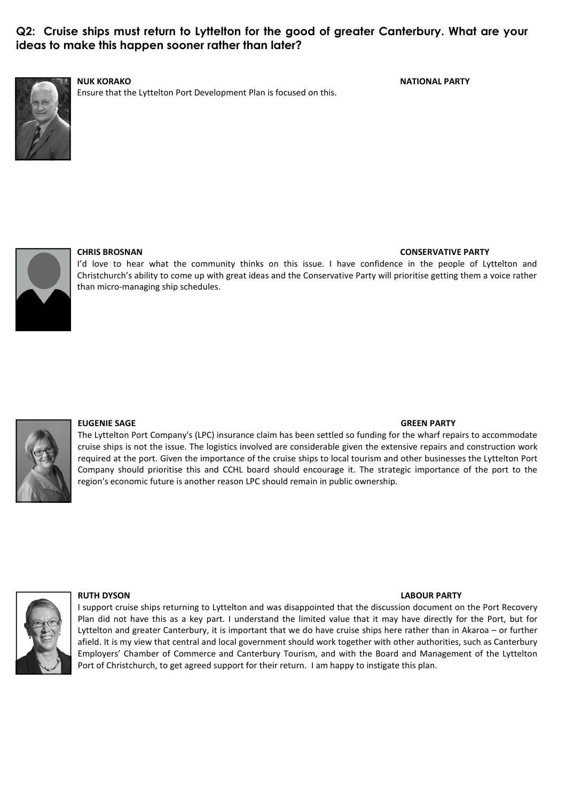# Q2: Cruise ships must return to Lyttelton for the good of greater Canterbury. What are your ideas to make this happen sooner rather than later?



Ensure that the Lyttelton Port Development Plan is focused on this.

NUK KORAKO NATIONAL PARTY



# CHRIS BROSNAN CONSERVATIVE PARTY

I'd love to hear what the community thinks on this issue. I have confidence in the people of Lyttelton and Christchurch's ability to come up with great ideas and the Conservative Party will prioritise getting them a voice rather than micro-managing ship schedules.



# EUGENIE SAGE GREEN PARTY

The Lyttelton Port Company's (LPC) insurance claim has been settled so funding for the wharf repairs to accommodate cruise ships is not the issue. The logistics involved are considerable given the extensive repairs and construction work required at the port. Given the importance of the cruise ships to local tourism and other businesses the Lyttelton Port Company should prioritise this and CCHL board should encourage it. The strategic importance of the port to the region's economic future is another reason LPC should remain in public ownership.



### RUTH DYSON LABOUR PARTY

I support cruise ships returning to Lyttelton and was disappointed that the discussion document on the Port Recovery Plan did not have this as a key part. I understand the limited value that it may have directly for the Port, but for Lyttelton and greater Canterbury, it is important that we do have cruise ships here rather than in Akaroa – or further afield. It is my view that central and local government should work together with other authorities, such as Canterbury Employers' Chamber of Commerce and Canterbury Tourism, and with the Board and Management of the Lyttelton Port of Christchurch, to get agreed support for their return. I am happy to instigate this plan.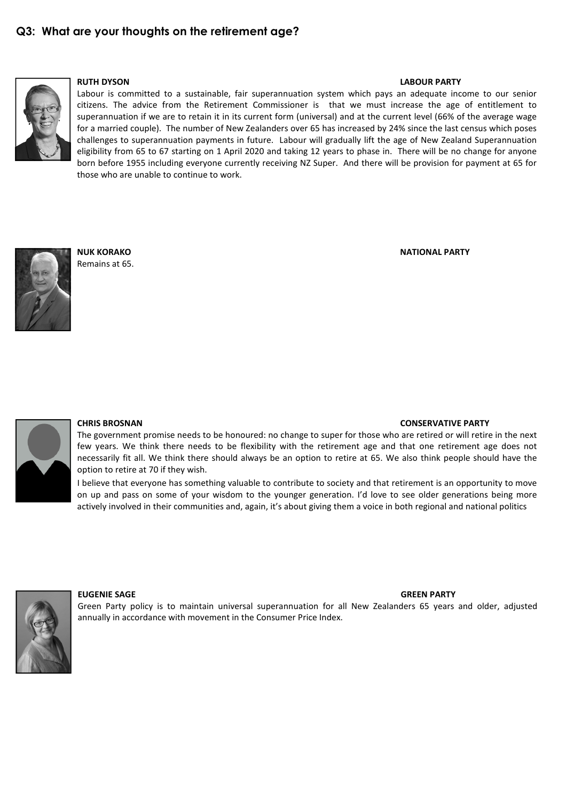

## RUTH DYSON LABOUR PARTY

Labour is committed to a sustainable, fair superannuation system which pays an adequate income to our senior citizens. The advice from the Retirement Commissioner is that we must increase the age of entitlement to superannuation if we are to retain it in its current form (universal) and at the current level (66% of the average wage for a married couple). The number of New Zealanders over 65 has increased by 24% since the last census which poses challenges to superannuation payments in future. Labour will gradually lift the age of New Zealand Superannuation eligibility from 65 to 67 starting on 1 April 2020 and taking 12 years to phase in. There will be no change for anyone born before 1955 including everyone currently receiving NZ Super. And there will be provision for payment at 65 for those who are unable to continue to work.



Remains at 65.

NUK KORAKO NATIONAL PARTY



### CHRIS BROSNAN CONSERVATIVE PARTY

The government promise needs to be honoured: no change to super for those who are retired or will retire in the next few years. We think there needs to be flexibility with the retirement age and that one retirement age does not necessarily fit all. We think there should always be an option to retire at 65. We also think people should have the option to retire at 70 if they wish.

I believe that everyone has something valuable to contribute to society and that retirement is an opportunity to move on up and pass on some of your wisdom to the younger generation. I'd love to see older generations being more actively involved in their communities and, again, it's about giving them a voice in both regional and national politics



# EUGENIE SAGE GREEN PARTY

Green Party policy is to maintain universal superannuation for all New Zealanders 65 years and older, adjusted annually in accordance with movement in the Consumer Price Index.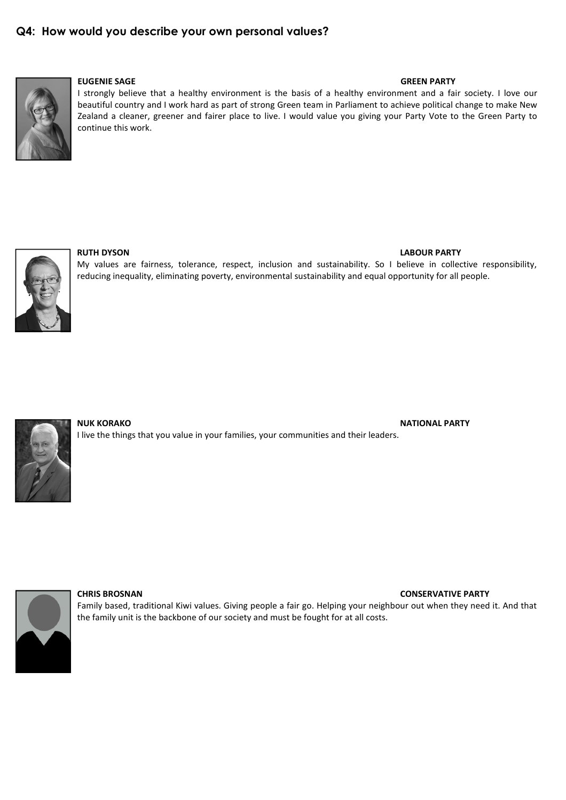# Q4: How would you describe your own personal values?



# EUGENIE SAGE GREEN PARTY

I strongly believe that a healthy environment is the basis of a healthy environment and a fair society. I love our beautiful country and I work hard as part of strong Green team in Parliament to achieve political change to make New Zealand a cleaner, greener and fairer place to live. I would value you giving your Party Vote to the Green Party to continue this work.



My values are fairness, tolerance, respect, inclusion and sustainability. So I believe in collective responsibility, reducing inequality, eliminating poverty, environmental sustainability and equal opportunity for all people.



NUK KORAKO NATIONAL PARTY NATIONAL PARTY NATIONAL PARTY NATIONAL PARTY NATIONAL PARTY I live the things that you value in your families, your communities and their leaders.



## CHRIS BROSNAN CONSERVATIVE PARTY

Family based, traditional Kiwi values. Giving people a fair go. Helping your neighbour out when they need it. And that the family unit is the backbone of our society and must be fought for at all costs.

## RUTH DYSON LABOUR PARTY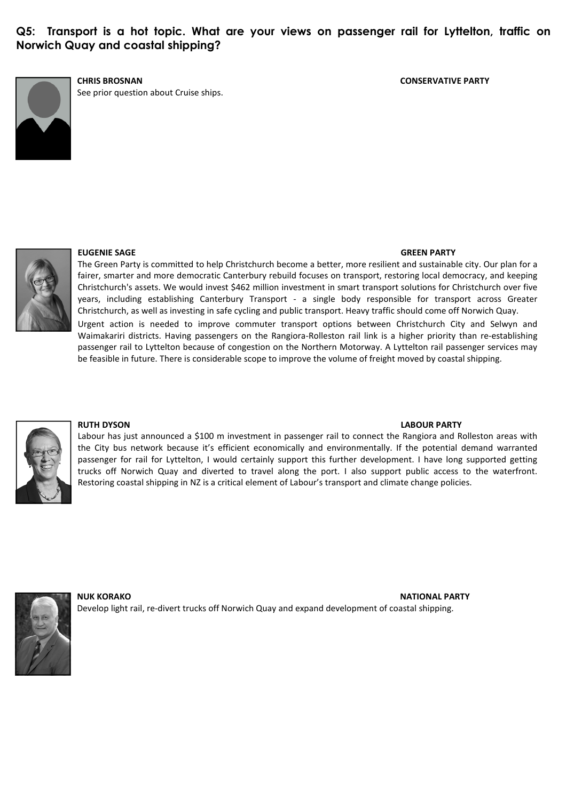Q5: Transport is a hot topic. What are your views on passenger rail for Lyttelton, traffic on Norwich Quay and coastal shipping?



See prior question about Cruise ships.

### CHRIS BROSNAN CONSERVATIVE PARTY



## EUGENIE SAGE GREEN PARTY

The Green Party is committed to help Christchurch become a better, more resilient and sustainable city. Our plan for a fairer, smarter and more democratic Canterbury rebuild focuses on transport, restoring local democracy, and keeping Christchurch's assets. We would invest \$462 million investment in smart transport solutions for Christchurch over five years, including establishing Canterbury Transport - a single body responsible for transport across Greater Christchurch, as well as investing in safe cycling and public transport. Heavy traffic should come off Norwich Quay.

Urgent action is needed to improve commuter transport options between Christchurch City and Selwyn and Waimakariri districts. Having passengers on the Rangiora-Rolleston rail link is a higher priority than re-establishing passenger rail to Lyttelton because of congestion on the Northern Motorway. A Lyttelton rail passenger services may be feasible in future. There is considerable scope to improve the volume of freight moved by coastal shipping.



### RUTH DYSON LABOUR PARTY

Labour has just announced a \$100 m investment in passenger rail to connect the Rangiora and Rolleston areas with the City bus network because it's efficient economically and environmentally. If the potential demand warranted passenger for rail for Lyttelton, I would certainly support this further development. I have long supported getting trucks off Norwich Quay and diverted to travel along the port. I also support public access to the waterfront. Restoring coastal shipping in NZ is a critical element of Labour's transport and climate change policies.



NUK KORAKO NATIONAL PARTY NATIONAL PARTY NATIONAL PARTY NATIONAL PARTY NATIONAL PARTY Develop light rail, re-divert trucks off Norwich Quay and expand development of coastal shipping.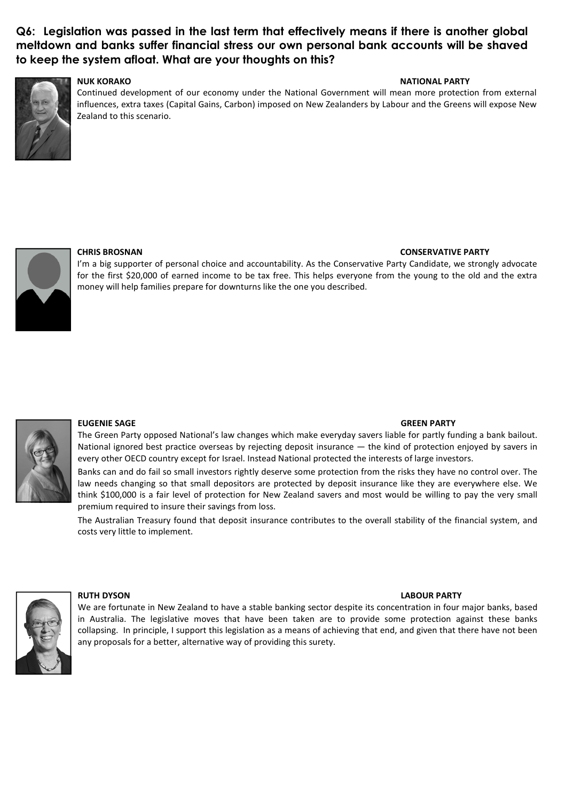# Q6: Legislation was passed in the last term that effectively means if there is another global meltdown and banks suffer financial stress our own personal bank accounts will be shaved to keep the system afloat. What are your thoughts on this?



# NUK KORAKO NATIONAL PARTY

Continued development of our economy under the National Government will mean more protection from external influences, extra taxes (Capital Gains, Carbon) imposed on New Zealanders by Labour and the Greens will expose New Zealand to this scenario.



# CHRIS BROSNAN CONSERVATIVE PARTY

I'm a big supporter of personal choice and accountability. As the Conservative Party Candidate, we strongly advocate for the first \$20,000 of earned income to be tax free. This helps everyone from the young to the old and the extra money will help families prepare for downturns like the one you described.



# EUGENIE SAGE GREEN PARTY

The Green Party opposed National's law changes which make everyday savers liable for partly funding a bank bailout. National ignored best practice overseas by rejecting deposit insurance — the kind of protection enjoyed by savers in every other OECD country except for Israel. Instead National protected the interests of large investors.

Banks can and do fail so small investors rightly deserve some protection from the risks they have no control over. The law needs changing so that small depositors are protected by deposit insurance like they are everywhere else. We think \$100,000 is a fair level of protection for New Zealand savers and most would be willing to pay the very small premium required to insure their savings from loss.

The Australian Treasury found that deposit insurance contributes to the overall stability of the financial system, and costs very little to implement.



### RUTH DYSON LABOUR PARTY

We are fortunate in New Zealand to have a stable banking sector despite its concentration in four major banks, based in Australia. The legislative moves that have been taken are to provide some protection against these banks collapsing. In principle, I support this legislation as a means of achieving that end, and given that there have not been any proposals for a better, alternative way of providing this surety.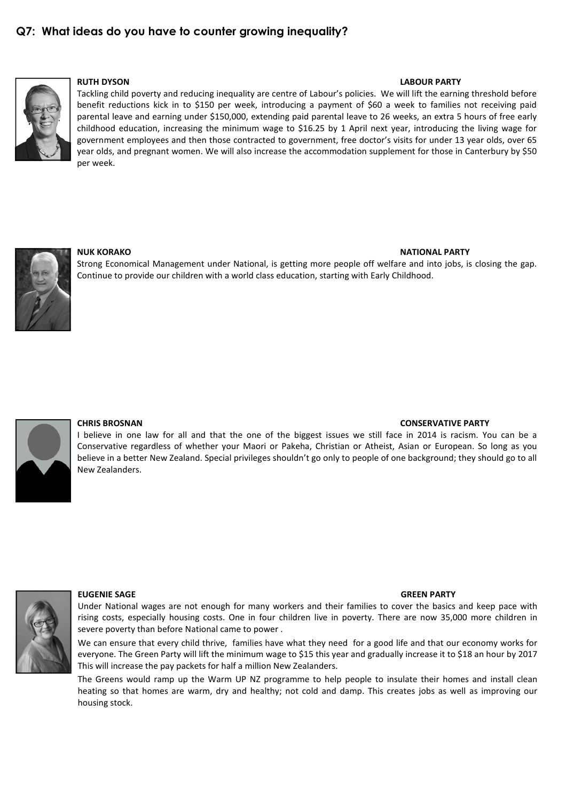# Q7: What ideas do you have to counter growing inequality?



## RUTH DYSON LABOUR PARTY

Tackling child poverty and reducing inequality are centre of Labour's policies. We will lift the earning threshold before benefit reductions kick in to \$150 per week, introducing a payment of \$60 a week to families not receiving paid parental leave and earning under \$150,000, extending paid parental leave to 26 weeks, an extra 5 hours of free early childhood education, increasing the minimum wage to \$16.25 by 1 April next year, introducing the living wage for government employees and then those contracted to government, free doctor's visits for under 13 year olds, over 65 year olds, and pregnant women. We will also increase the accommodation supplement for those in Canterbury by \$50 per week.



### NUK KORAKO NATIONAL PARTY

Strong Economical Management under National, is getting more people off welfare and into jobs, is closing the gap. Continue to provide our children with a world class education, starting with Early Childhood.



### CHRIS BROSNAN CONSERVATIVE PARTY

I believe in one law for all and that the one of the biggest issues we still face in 2014 is racism. You can be a Conservative regardless of whether your Maori or Pakeha, Christian or Atheist, Asian or European. So long as you believe in a better New Zealand. Special privileges shouldn't go only to people of one background; they should go to all New Zealanders.



### EUGENIE SAGE GREEN PARTY

Under National wages are not enough for many workers and their families to cover the basics and keep pace with rising costs, especially housing costs. One in four children live in poverty. There are now 35,000 more children in severe poverty than before National came to power .

We can ensure that every child thrive, families have what they need for a good life and that our economy works for everyone. The Green Party will lift the minimum wage to \$15 this year and gradually increase it to \$18 an hour by 2017 This will increase the pay packets for half a million New Zealanders.

The Greens would ramp up the Warm UP NZ programme to help people to insulate their homes and install clean heating so that homes are warm, dry and healthy; not cold and damp. This creates jobs as well as improving our housing stock.